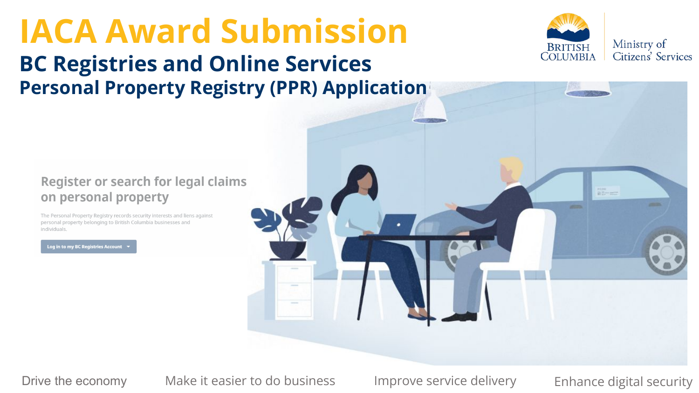# **IACA Award Submission BC Registries and Online Services Personal Property Registry (PPR) Application**



#### Register or search for legal claims on personal property

The Personal Property Registry records security interests and liens against personal property belonging to British Columbia businesses and individuals

**Log in to my BC Registries Account** 



Drive the economy Make it easier to do business Improve service delivery Enhance digital security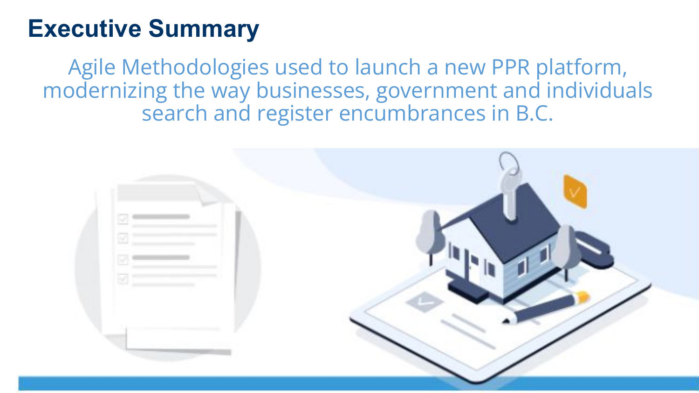### **Executive Summary**

Agile Methodologies used to launch a new PPR platform, modernizing the way businesses, government and individuals search and register encumbrances in B.C.

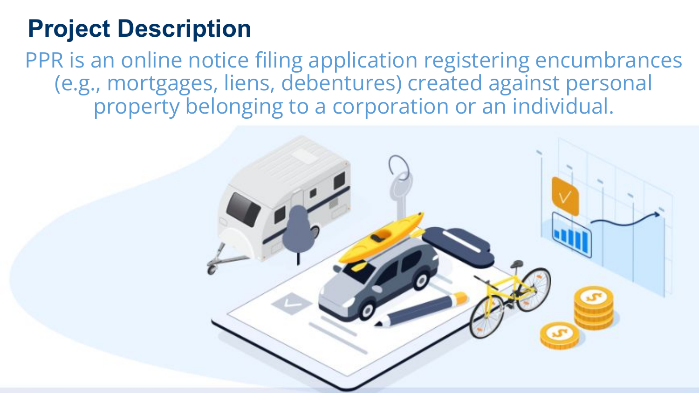# **Project Description**

PPR is an online notice filing application registering encumbrances (e.g., mortgages, liens, debentures) created against personal property belonging to a corporation or an individual.

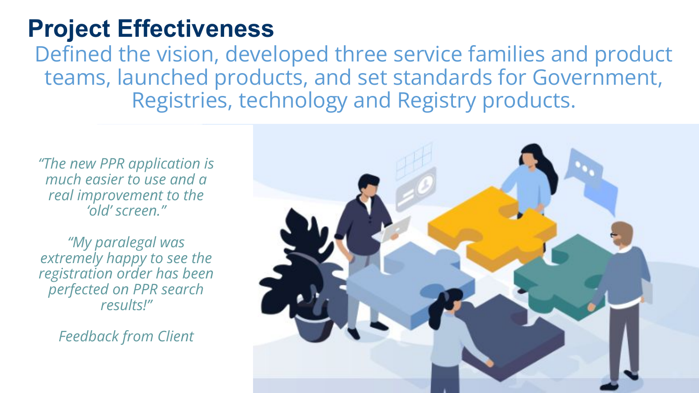### **Project Effectiveness**

Defined the vision, developed three service families and product teams, launched products, and set standards for Government, Registries, technology and Registry products.

*"The new PPR application is much easier to use and a real improvement to the 'old' screen."* 

*"My paralegal was extremely happy to see the registration order has been perfected on PPR search results!"*

*Feedback from Client*

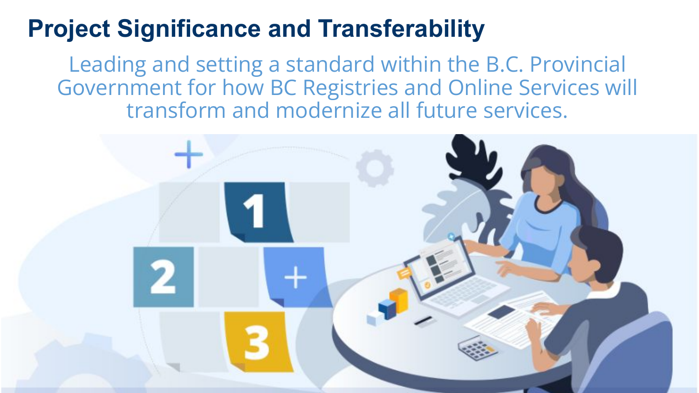## **Project Significance and Transferability**

Leading and setting a standard within the B.C. Provincial Government for how BC Registries and Online Services will transform and modernize all future services.

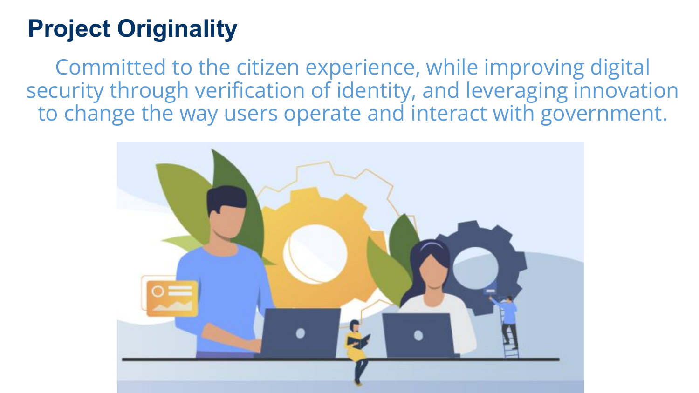# **Project Originality**

Committed to the citizen experience, while improving digital security through verification of identity, and leveraging innovation to change the way users operate and interact with government.

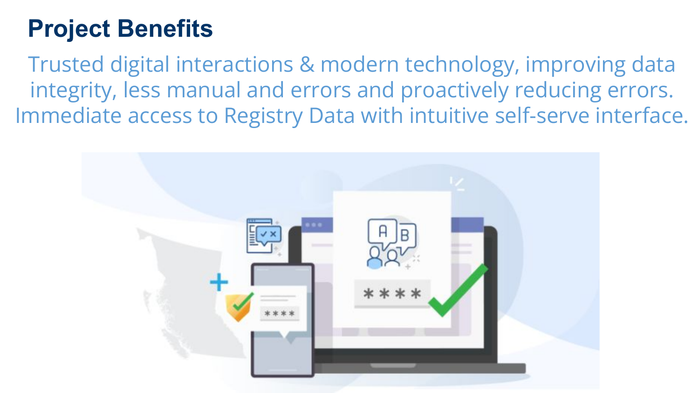## **Project Benefits**

Trusted digital interactions & modern technology, improving data integrity, less manual and errors and proactively reducing errors. Immediate access to Registry Data with intuitive self-serve interface.

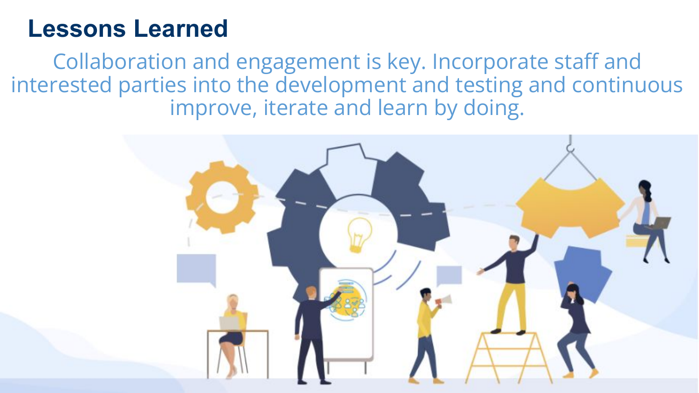### **Lessons Learned**

Collaboration and engagement is key. Incorporate staff and interested parties into the development and testing and continuous improve, iterate and learn by doing.